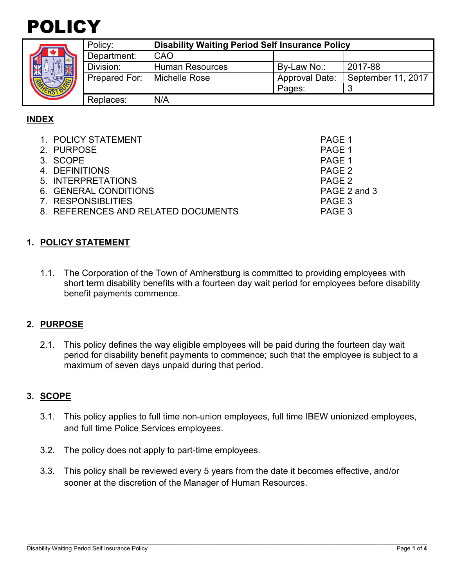



| <b>S</b><br><b>KURNING</b> | Policy:       | <b>Disability Waiting Period Self Insurance Policy</b> |                       |                    |  |
|----------------------------|---------------|--------------------------------------------------------|-----------------------|--------------------|--|
|                            | Department:   | CAO                                                    |                       |                    |  |
|                            | Division:     | <b>Human Resources</b>                                 | By-Law No.:           | 2017-88            |  |
|                            | Prepared For: | Michelle Rose                                          | <b>Approval Date:</b> | September 11, 2017 |  |
|                            |               |                                                        | Pages:                |                    |  |
|                            | Replaces:     | N/A                                                    |                       |                    |  |

# **INDEX**

| 1. POLICY STATEMENT                 | PAGE 1       |
|-------------------------------------|--------------|
| 2. PURPOSE                          | PAGE 1       |
| 3. SCOPE                            | PAGE 1       |
| 4. DEFINITIONS                      | PAGE 2       |
| 5. INTERPRETATIONS                  | PAGE 2       |
| 6. GENERAL CONDITIONS               | PAGE 2 and 3 |
| 7. RESPONSIBLITIES                  | PAGE 3       |
| 8. REFERENCES AND RELATED DOCUMENTS | PAGE 3       |
|                                     |              |

### **1. POLICY STATEMENT**

1.1. The Corporation of the Town of Amherstburg is committed to providing employees with short term disability benefits with a fourteen day wait period for employees before disability benefit payments commence.

#### **2. PURPOSE**

2.1. This policy defines the way eligible employees will be paid during the fourteen day wait period for disability benefit payments to commence; such that the employee is subject to a maximum of seven days unpaid during that period.

## **3. SCOPE**

- 3.1. This policy applies to full time non-union employees, full time IBEW unionized employees, and full time Police Services employees.
- 3.2. The policy does not apply to part-time employees.
- 3.3. This policy shall be reviewed every 5 years from the date it becomes effective, and/or sooner at the discretion of the Manager of Human Resources.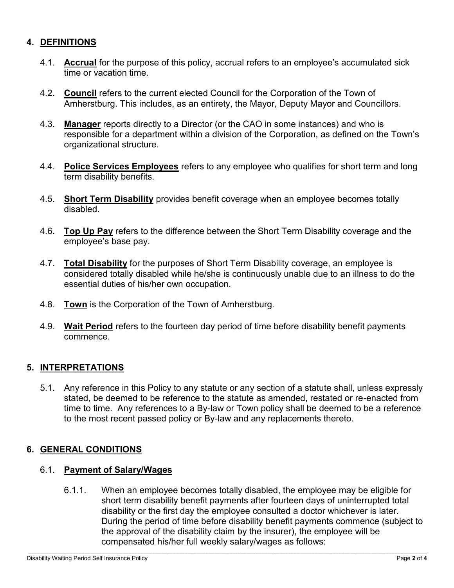## **4. DEFINITIONS**

- 4.1. **Accrual** for the purpose of this policy, accrual refers to an employee's accumulated sick time or vacation time.
- 4.2. **Council** refers to the current elected Council for the Corporation of the Town of Amherstburg. This includes, as an entirety, the Mayor, Deputy Mayor and Councillors.
- 4.3. **Manager** reports directly to a Director (or the CAO in some instances) and who is responsible for a department within a division of the Corporation, as defined on the Town's organizational structure.
- 4.4. **Police Services Employees** refers to any employee who qualifies for short term and long term disability benefits.
- 4.5. **Short Term Disability** provides benefit coverage when an employee becomes totally disabled.
- 4.6. **Top Up Pay** refers to the difference between the Short Term Disability coverage and the employee's base pay.
- 4.7. **Total Disability** for the purposes of Short Term Disability coverage, an employee is considered totally disabled while he/she is continuously unable due to an illness to do the essential duties of his/her own occupation.
- 4.8. **Town** is the Corporation of the Town of Amherstburg.
- 4.9. **Wait Period** refers to the fourteen day period of time before disability benefit payments commence.

## **5. INTERPRETATIONS**

5.1. Any reference in this Policy to any statute or any section of a statute shall, unless expressly stated, be deemed to be reference to the statute as amended, restated or re-enacted from time to time. Any references to a By-law or Town policy shall be deemed to be a reference to the most recent passed policy or By-law and any replacements thereto.

#### **6. GENERAL CONDITIONS**

#### 6.1. **Payment of Salary/Wages**

6.1.1. When an employee becomes totally disabled, the employee may be eligible for short term disability benefit payments after fourteen days of uninterrupted total disability or the first day the employee consulted a doctor whichever is later. During the period of time before disability benefit payments commence (subject to the approval of the disability claim by the insurer), the employee will be compensated his/her full weekly salary/wages as follows: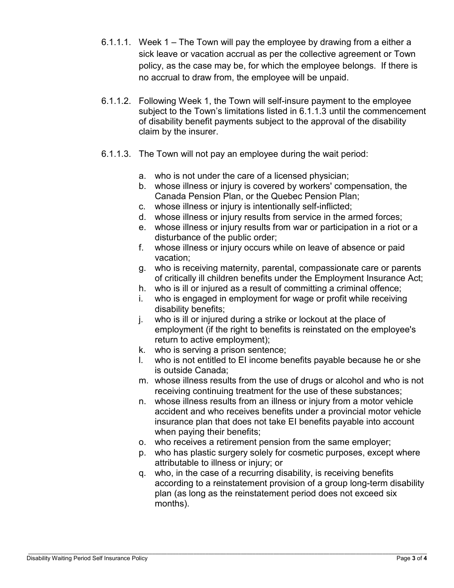- 6.1.1.1. Week 1 The Town will pay the employee by drawing from a either a sick leave or vacation accrual as per the collective agreement or Town policy, as the case may be, for which the employee belongs. If there is no accrual to draw from, the employee will be unpaid.
- 6.1.1.2. Following Week 1, the Town will self-insure payment to the employee subject to the Town's limitations listed in 6.1.1.3 until the commencement of disability benefit payments subject to the approval of the disability claim by the insurer.
- 6.1.1.3. The Town will not pay an employee during the wait period:
	- a. who is not under the care of a licensed physician;
	- b. whose illness or injury is covered by workers' compensation, the Canada Pension Plan, or the Quebec Pension Plan;
	- c. whose illness or injury is intentionally self-inflicted;
	- d. whose illness or injury results from service in the armed forces;
	- e. whose illness or injury results from war or participation in a riot or a disturbance of the public order;
	- f. whose illness or injury occurs while on leave of absence or paid vacation;
	- g. who is receiving maternity, parental, compassionate care or parents of critically ill children benefits under the Employment Insurance Act;
	- h. who is ill or injured as a result of committing a criminal offence;
	- i. who is engaged in employment for wage or profit while receiving disability benefits;
	- j. who is ill or injured during a strike or lockout at the place of employment (if the right to benefits is reinstated on the employee's return to active employment);
	- k. who is serving a prison sentence;
	- l. who is not entitled to EI income benefits payable because he or she is outside Canada;
	- m. whose illness results from the use of drugs or alcohol and who is not receiving continuing treatment for the use of these substances;
	- n. whose illness results from an illness or injury from a motor vehicle accident and who receives benefits under a provincial motor vehicle insurance plan that does not take EI benefits payable into account when paying their benefits;
	- o. who receives a retirement pension from the same employer;
	- p. who has plastic surgery solely for cosmetic purposes, except where attributable to illness or injury; or
	- q. who, in the case of a recurring disability, is receiving benefits according to a reinstatement provision of a group long-term disability plan (as long as the reinstatement period does not exceed six months).